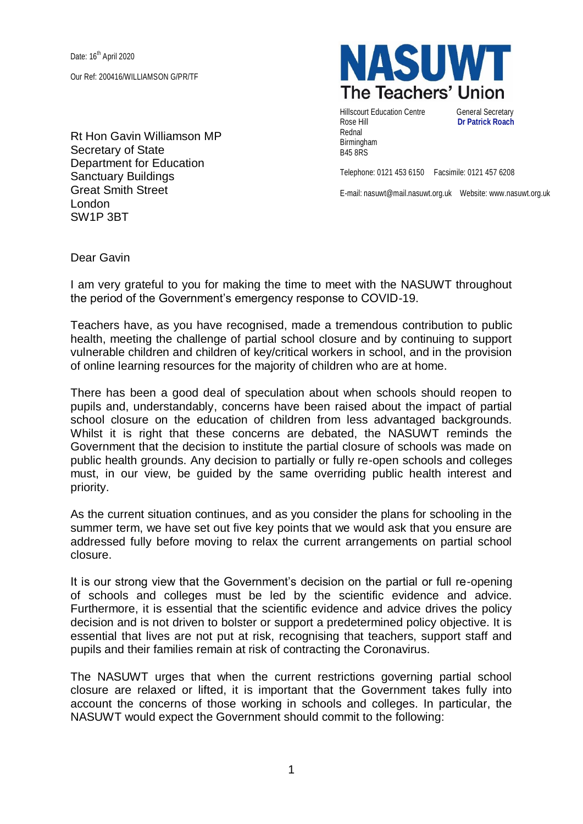Date: 16<sup>th</sup> April 2020

Our Ref: 200416/WILLIAMSON G/PR/TF

Rt Hon Gavin Williamson MP Secretary of State Department for Education Sanctuary Buildings Great Smith Street London SW1P 3BT



Hillscourt Education Centre **General Secretary** Rose Hill **Dr Patrick Roach** Rednal Birmingham B45 8RS

Telephone: 0121 453 6150 Facsimile: 0121 457 6208

E-mail: nasuwt@mail.nasuwt.org.uk Website: www.nasuwt.org.uk

Dear Gavin

I am very grateful to you for making the time to meet with the NASUWT throughout the period of the Government's emergency response to COVID-19.

Teachers have, as you have recognised, made a tremendous contribution to public health, meeting the challenge of partial school closure and by continuing to support vulnerable children and children of key/critical workers in school, and in the provision of online learning resources for the majority of children who are at home.

There has been a good deal of speculation about when schools should reopen to pupils and, understandably, concerns have been raised about the impact of partial school closure on the education of children from less advantaged backgrounds. Whilst it is right that these concerns are debated, the NASUWT reminds the Government that the decision to institute the partial closure of schools was made on public health grounds. Any decision to partially or fully re-open schools and colleges must, in our view, be guided by the same overriding public health interest and priority.

As the current situation continues, and as you consider the plans for schooling in the summer term, we have set out five key points that we would ask that you ensure are addressed fully before moving to relax the current arrangements on partial school closure.

It is our strong view that the Government's decision on the partial or full re-opening of schools and colleges must be led by the scientific evidence and advice. Furthermore, it is essential that the scientific evidence and advice drives the policy decision and is not driven to bolster or support a predetermined policy objective. It is essential that lives are not put at risk, recognising that teachers, support staff and pupils and their families remain at risk of contracting the Coronavirus.

The NASUWT urges that when the current restrictions governing partial school closure are relaxed or lifted, it is important that the Government takes fully into account the concerns of those working in schools and colleges. In particular, the NASUWT would expect the Government should commit to the following: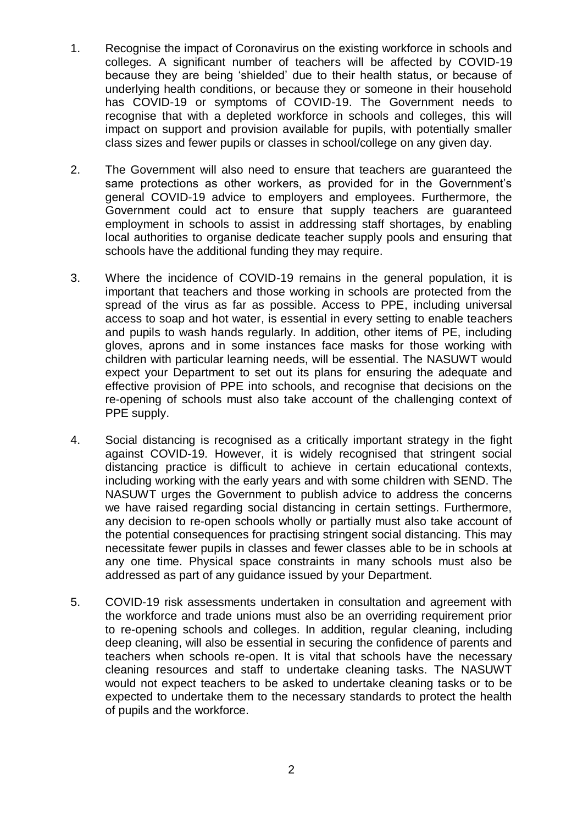- 1. Recognise the impact of Coronavirus on the existing workforce in schools and colleges. A significant number of teachers will be affected by COVID-19 because they are being 'shielded' due to their health status, or because of underlying health conditions, or because they or someone in their household has COVID-19 or symptoms of COVID-19. The Government needs to recognise that with a depleted workforce in schools and colleges, this will impact on support and provision available for pupils, with potentially smaller class sizes and fewer pupils or classes in school/college on any given day.
- 2. The Government will also need to ensure that teachers are guaranteed the same protections as other workers, as provided for in the Government's general COVID-19 advice to employers and employees. Furthermore, the Government could act to ensure that supply teachers are guaranteed employment in schools to assist in addressing staff shortages, by enabling local authorities to organise dedicate teacher supply pools and ensuring that schools have the additional funding they may require.
- 3. Where the incidence of COVID-19 remains in the general population, it is important that teachers and those working in schools are protected from the spread of the virus as far as possible. Access to PPE, including universal access to soap and hot water, is essential in every setting to enable teachers and pupils to wash hands regularly. In addition, other items of PE, including gloves, aprons and in some instances face masks for those working with children with particular learning needs, will be essential. The NASUWT would expect your Department to set out its plans for ensuring the adequate and effective provision of PPE into schools, and recognise that decisions on the re-opening of schools must also take account of the challenging context of PPE supply.
- 4. Social distancing is recognised as a critically important strategy in the fight against COVID-19. However, it is widely recognised that stringent social distancing practice is difficult to achieve in certain educational contexts, including working with the early years and with some children with SEND. The NASUWT urges the Government to publish advice to address the concerns we have raised regarding social distancing in certain settings. Furthermore, any decision to re-open schools wholly or partially must also take account of the potential consequences for practising stringent social distancing. This may necessitate fewer pupils in classes and fewer classes able to be in schools at any one time. Physical space constraints in many schools must also be addressed as part of any guidance issued by your Department.
- 5. COVID-19 risk assessments undertaken in consultation and agreement with the workforce and trade unions must also be an overriding requirement prior to re-opening schools and colleges. In addition, regular cleaning, including deep cleaning, will also be essential in securing the confidence of parents and teachers when schools re-open. It is vital that schools have the necessary cleaning resources and staff to undertake cleaning tasks. The NASUWT would not expect teachers to be asked to undertake cleaning tasks or to be expected to undertake them to the necessary standards to protect the health of pupils and the workforce.